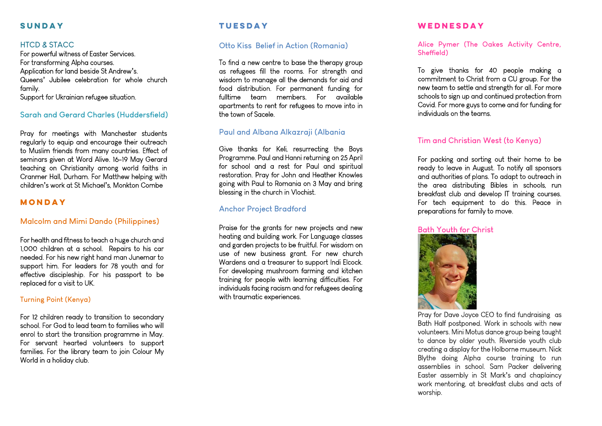## **SUNDAY**

#### **HTCD & STACC**

For powerful witness of Easter Services. For transforming Alpha courses. Application for land beside St Andrew**'**s. Queens**'** Jubilee celebration for whole church family. Support for Ukrainian refugee situation.

#### **Sarah and Gerard Charles (Huddersfield)**

Pray for meetings with Manchester students regularly to equip and encourage their outreach to Muslim friends from many countries. Effect of seminars given at Word Alive. 16-19 May Gerard teaching on Christianity among world faiths in Cranmer Hall, Durham. For Matthew helping with children**'**s work at St Michael**'**s, Monkton Combe

#### **MONDAY**

### **Malcolm and Mimi Dando (Philippines)**

For health and fitness to teach a huge church and 1,000 children at a school. Repairs to his car needed. For his new right hand man Junemar to support him. For leaders for 78 youth and for effective discipleship. For his passport to be replaced for a visit to UK.

#### **Turning Point (Kenya)**

For 12 children ready to transition to secondary school. For God to lead team to families who will enrol to start the transition programme in May. For servant hearted volunteers to support families. For the library team to join Colour My World in a holiday club.

# **TUESDAY**

#### **Otto Kiss Belief in Action (Romania)**

To find a new centre to base the therapy group as refugees fill the rooms. For strength and wisdom to manage all the demands for aid and food distribution. For permanent funding for fulltime team members. For available apartments to rent for refugees to move into in the town of Sacele.

#### **Paul and Albana Alkazraji (Albania**

Give thanks for Keli, resurrecting the Boys Programme. Paul and Hanni returning on 25 April for school and a rest for Paul and spiritual restoration. Pray for John and Heather Knowles going with Paul to Romania on 3 May and bring blessing in the church in Vlochist.

#### **Anchor Project Bradford**

Praise for the grants for new projects and new heating and building work. For Language classes and garden projects to be fruitful. For wisdom on use of new business grant. For new church Wardens and a treasurer to support Indi Elcock. For developing mushroom farming and kitchen training for people with learning difficulties. For individuals facing racism and for refugees dealing with traumatic experiences.

#### **WEDNESDAY**

**Alice Pymer (The Oakes Activity Centre, Sheffield)**

To give thanks for 40 people making a commitment to Christ from a CU group. For the new team to settle and strength for all. For more schools to sign up and continued protection from Covid. For more guys to come and for funding for individuals on the teams.

#### **Tim and Christian West (to Kenya)**

For packing and sorting out their home to be ready to leave in August. To notify all sponsors and authorities of plans. To adapt to outreach in the area distributing Bibles in schools, run breakfast club and develop IT training courses. For tech equipment to do this. Peace in preparations for family to move.

#### **Bath Youth for Christ**



Pray for Dave Joyce CEO to find fundraising as Bath Half postponed. Work in schools with new volunteers. Mini Motus dance group being taught to dance by older youth. Riverside youth club creating a display for the Holborne museum. Nick Blythe doing Alpha course training to run assemblies in school. Sam Packer delivering Easter assembly in St Mark**'**s and chaplaincy work mentoring, at breakfast clubs and acts of worship.